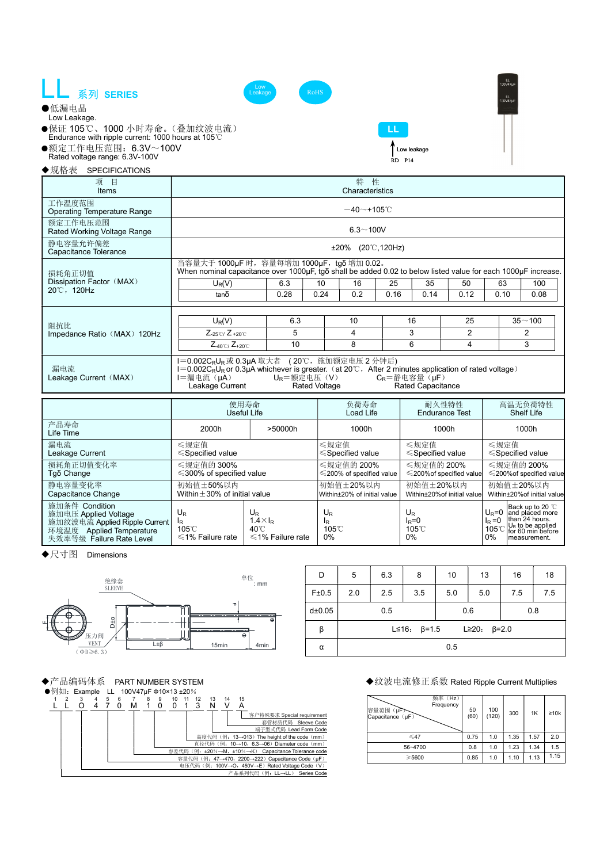





- ●保证 105℃、1000 小时寿命。(叠加纹波电流) Endurance with ripple current: 1000 hours at 105℃
- 
- ●额定工作电压范围:6.3V~100V Rated voltage range: 6.3V-100V

◆规格表 SPECIFICATIONS

LL Low leakage



| 项<br>目<br>Items                              | 特 性<br>Characteristics                                                                                                                                                                                                                                                                                       |                                                                                                                           |      |                                              |    |       |                                              |                                |                                              |                              |
|----------------------------------------------|--------------------------------------------------------------------------------------------------------------------------------------------------------------------------------------------------------------------------------------------------------------------------------------------------------------|---------------------------------------------------------------------------------------------------------------------------|------|----------------------------------------------|----|-------|----------------------------------------------|--------------------------------|----------------------------------------------|------------------------------|
| 工作温度范围<br><b>Operating Temperature Range</b> | $-40$ ~+105°C                                                                                                                                                                                                                                                                                                |                                                                                                                           |      |                                              |    |       |                                              |                                |                                              |                              |
| 额定工作电压范围<br>Rated Working Voltage Range      | $6.3 - 100V$                                                                                                                                                                                                                                                                                                 |                                                                                                                           |      |                                              |    |       |                                              |                                |                                              |                              |
| 静电容量允许偏差<br>Capacitance Tolerance            | $±20\%$ (20 °C, 120Hz)                                                                                                                                                                                                                                                                                       |                                                                                                                           |      |                                              |    |       |                                              |                                |                                              |                              |
| 损耗角正切值                                       | 当容量大于 1000μF 时, 容量每增加 1000μF, tgδ 增加 0.02。<br>When nominal capacitance over 1000µF, tgo shall be added 0.02 to below listed value for each 1000µF increase.                                                                                                                                                  |                                                                                                                           |      |                                              |    |       |                                              |                                |                                              |                              |
| Dissipation Factor (MAX)                     | $U_R(V)$                                                                                                                                                                                                                                                                                                     |                                                                                                                           |      | 10                                           | 16 | 25    | 35                                           | 50                             | 63                                           | 100                          |
| 20°C, 120Hz                                  | $tan\delta$                                                                                                                                                                                                                                                                                                  | 6.3<br>0.28<br>0.24<br>0.2<br>0.16<br>0.14<br>0.12<br>6.3<br>10<br>16<br>25<br>$\overline{2}$<br>5<br>3<br>$\overline{4}$ | 0.10 | 0.08                                         |    |       |                                              |                                |                                              |                              |
|                                              |                                                                                                                                                                                                                                                                                                              |                                                                                                                           |      |                                              |    |       |                                              | $35 - 100$                     |                                              |                              |
| 阻抗比                                          | $U_R(V)$                                                                                                                                                                                                                                                                                                     |                                                                                                                           |      |                                              |    |       |                                              |                                |                                              |                              |
| Impedance Ratio (MAX) 120Hz                  | $Z_{-25\degree\text{C}}$ / $Z_{+20\degree\text{C}}$                                                                                                                                                                                                                                                          |                                                                                                                           | 10   |                                              | 8  |       | 6                                            | 4                              |                                              | 2<br>3                       |
|                                              | $Z_{-40\degree\text{C}}$ / $Z_{+20\degree\text{C}}$                                                                                                                                                                                                                                                          |                                                                                                                           |      |                                              |    |       |                                              |                                |                                              |                              |
| 漏电流<br>Leakage Current (MAX)                 | I=0.002C <sub>R</sub> U <sub>R</sub> 或 0.3µA 取大者 (20℃, 施加额定电压 2 分钟后)<br>I=0.002CRUR or 0.3µA whichever is greater. (at 20℃, After 2 minutes application of rated voltage)<br>$U_R = $ 额定电压 (V)<br>l=漏电流(µA)<br>$C_R$ =静电容量 $($ µF $)$<br><b>Rated Voltage</b><br><b>Rated Capacitance</b><br>Leakage Current |                                                                                                                           |      |                                              |    |       |                                              |                                |                                              |                              |
|                                              | 使用寿命<br>负荷寿命<br>Useful Life<br>Load Life                                                                                                                                                                                                                                                                     |                                                                                                                           |      |                                              |    |       |                                              | 耐久性特性<br><b>Endurance Test</b> |                                              | 高温无负荷特性<br><b>Shelf Life</b> |
| 产品寿命<br>Life Time                            | 2000h                                                                                                                                                                                                                                                                                                        | >50000h                                                                                                                   |      | 1000h                                        |    | 1000h |                                              | 1000h                          |                                              |                              |
| 漏电流<br>Leakage Current                       | ≤规定值<br>$\leq$ Specified value                                                                                                                                                                                                                                                                               |                                                                                                                           |      | ≤规定值<br>$\leq$ Specified value               |    |       | ≤规定值<br>$\leq$ Specified value               |                                | ≤规定值                                         | $\leq$ Specified value       |
| 损耗角正切值变化率<br>Tgδ Change                      | ≤规定值的 300%<br>$\leq$ 300% of specified value                                                                                                                                                                                                                                                                 |                                                                                                                           |      | ≤规定值的 200%<br>$\leq$ 200% of specified value |    |       | ≤规定值的 200%<br>$\leq$ 200% of specified value |                                | ≤规定值的 200%<br>$\leq$ 200% of specified value |                              |
| 静电容量变化率<br>Capacitance Change                | 初始值±50%以内<br>初始值±20%以内<br>初始值±20%以内<br>初始值±20%以内<br>Within $\pm$ 30% of initial value<br>Within±20% of initial value<br>Within±20% of initial value                                                                                                                                                          |                                                                                                                           |      |                                              |    |       |                                              | Within±20% of initial value    |                                              |                              |

| Capacitance Change                                                                                                                        | $VUUUU \pm 3U$ % of miliar value      |                                                            | TWithin±20% of Initial Value                             | vvitnin±zu‰ot initiai valuel      |                 | within±20%of initial value                                                                                                                   |
|-------------------------------------------------------------------------------------------------------------------------------------------|---------------------------------------|------------------------------------------------------------|----------------------------------------------------------|-----------------------------------|-----------------|----------------------------------------------------------------------------------------------------------------------------------------------|
| 施加条件 Condition<br>施加电压 Applied Voltage<br>施加纹波电流 Applied Ripple Current<br>环境温度<br><b>Applied Temperature</b><br>失效率等级 Failure Rate Level | UR<br>105°C<br>$\leq$ 1% Failure rate | UR<br>$.4\times I_R$<br>40℃<br>$\leqslant$ 1% Failure rate | $\mathsf{U}_\mathsf{R}$<br><sup>I</sup> R<br>105°C<br>0% | UR<br>$I_R = C$<br>105°C<br>$0\%$ | $I_R = 0$<br>0% | Back up to 20 °C<br>$U_{\rm B} = 0$ and placed more<br>than 24 hours.<br>$\frac{1}{105}$ °C $\frac{U_R}{100}$ to be applied<br>Imeasurement. |

◆尺寸图 Dimensions



| D      | 5                                               | 6.3 | 8   | 10  | 13  | 16  | 18  |  |  |
|--------|-------------------------------------------------|-----|-----|-----|-----|-----|-----|--|--|
| F±0.5  | 2.0                                             | 2.5 | 3.5 | 5.0 | 5.0 | 7.5 | 7.5 |  |  |
| d±0.05 |                                                 | 0.5 |     |     | 0.6 | 0.8 |     |  |  |
| β      | L \le 16: $\beta$ = 1.5 L \le 20: $\beta$ = 2.0 |     |     |     |     |     |     |  |  |
| α      | 0.5                                             |     |     |     |     |     |     |  |  |



| 频率 (Hz)<br>Frequency<br>容量范围<br>(µF)<br>Capacitance (µF) | 50<br>(60) | 100<br>(120) | 300  | 1K   | $\geq 10k$ |
|----------------------------------------------------------|------------|--------------|------|------|------------|
| $\leq 47$                                                | 0.75       | 1.0          | 1.35 | 1.57 | 2.0        |
| 56~4700                                                  | 0.8        | 1.0          | 1.23 | 1.34 | 1.5        |
| >5600                                                    | 0.85       | 1.0          | 1.10 | 1.13 | 1.15       |